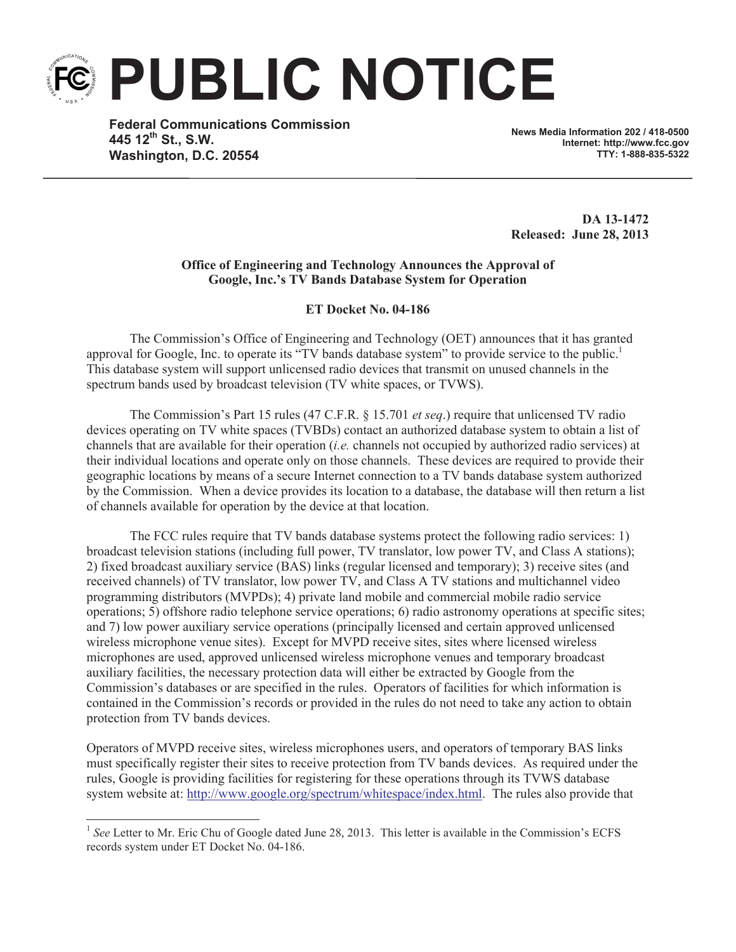**PUBLIC NOTICE**

**Federal Communications Commission 445 12th St., S.W. Washington, D.C. 20554**

**News Media Information 202 / 418-0500 Internet: http://www.fcc.gov TTY: 1-888-835-5322**

**DA 13-1472 Released: June 28, 2013**

## **Office of Engineering and Technology Announces the Approval of Google, Inc.'s TV Bands Database System for Operation**

**ET Docket No. 04-186**

The Commission's Office of Engineering and Technology (OET) announces that it has granted approval for Google, Inc. to operate its "TV bands database system" to provide service to the public.<sup>1</sup> This database system will support unlicensed radio devices that transmit on unused channels in the spectrum bands used by broadcast television (TV white spaces, or TVWS).

The Commission's Part 15 rules (47 C.F.R. § 15.701 *et seq*.) require that unlicensed TV radio devices operating on TV white spaces (TVBDs) contact an authorized database system to obtain a list of channels that are available for their operation (*i.e.* channels not occupied by authorized radio services) at their individual locations and operate only on those channels. These devices are required to provide their geographic locations by means of a secure Internet connection to a TV bands database system authorized by the Commission. When a device provides its location to a database, the database will then return a list of channels available for operation by the device at that location.

The FCC rules require that TV bands database systems protect the following radio services: 1) broadcast television stations (including full power, TV translator, low power TV, and Class A stations); 2) fixed broadcast auxiliary service (BAS) links (regular licensed and temporary); 3) receive sites (and received channels) of TV translator, low power TV, and Class A TV stations and multichannel video programming distributors (MVPDs); 4) private land mobile and commercial mobile radio service operations; 5) offshore radio telephone service operations; 6) radio astronomy operations at specific sites; and 7) low power auxiliary service operations (principally licensed and certain approved unlicensed wireless microphone venue sites). Except for MVPD receive sites, sites where licensed wireless microphones are used, approved unlicensed wireless microphone venues and temporary broadcast auxiliary facilities, the necessary protection data will either be extracted by Google from the Commission's databases or are specified in the rules. Operators of facilities for which information is contained in the Commission's records or provided in the rules do not need to take any action to obtain protection from TV bands devices.

Operators of MVPD receive sites, wireless microphones users, and operators of temporary BAS links must specifically register their sites to receive protection from TV bands devices. As required under the rules, Google is providing facilities for registering for these operations through its TVWS database system website at: http://www.google.org/spectrum/whitespace/index.html. The rules also provide that

<sup>&</sup>lt;sup>1</sup> See Letter to Mr. Eric Chu of Google dated June 28, 2013. This letter is available in the Commission's ECFS records system under ET Docket No. 04-186.